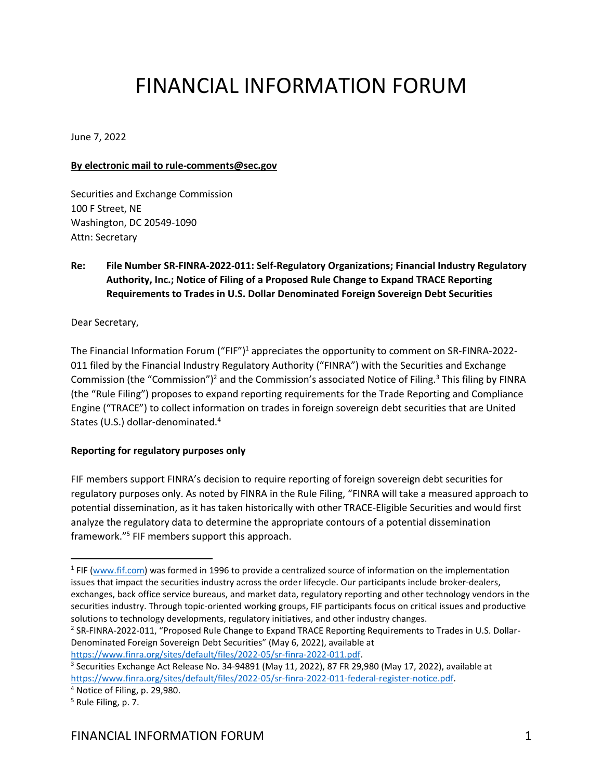# FINANCIAL INFORMATION FORUM

June 7, 2022

## **By electronic mail to rule-comments@sec.gov**

Securities and Exchange Commission 100 F Street, NE Washington, DC 20549-1090 Attn: Secretary

# **Re: File Number SR-FINRA-2022-011: Self-Regulatory Organizations; Financial Industry Regulatory Authority, Inc.; Notice of Filing of a Proposed Rule Change to Expand TRACE Reporting Requirements to Trades in U.S. Dollar Denominated Foreign Sovereign Debt Securities**

Dear Secretary,

The Financial Information Forum ("FIF")<sup>1</sup> appreciates the opportunity to comment on SR-FINRA-2022-011 filed by the Financial Industry Regulatory Authority ("FINRA") with the Securities and Exchange Commission (the "Commission")<sup>2</sup> and the Commission's associated Notice of Filing.<sup>3</sup> This filing by FINRA (the "Rule Filing") proposes to expand reporting requirements for the Trade Reporting and Compliance Engine ("TRACE") to collect information on trades in foreign sovereign debt securities that are United States (U.S.) dollar-denominated.<sup>4</sup>

## **Reporting for regulatory purposes only**

FIF members support FINRA's decision to require reporting of foreign sovereign debt securities for regulatory purposes only. As noted by FINRA in the Rule Filing, "FINRA will take a measured approach to potential dissemination, as it has taken historically with other TRACE-Eligible Securities and would first analyze the regulatory data to determine the appropriate contours of a potential dissemination framework."<sup>5</sup> FIF members support this approach.

<sup>2</sup> SR-FINRA-2022-011, "Proposed Rule Change to Expand TRACE Reporting Requirements to Trades in U.S. Dollar-Denominated Foreign Sovereign Debt Securities" (May 6, 2022), available at [https://www.finra.org/sites/default/files/2022-05/sr-finra-2022-011.pdf.](https://www.finra.org/sites/default/files/2022-05/sr-finra-2022-011.pdf)

<sup>&</sup>lt;sup>1</sup> FIF [\(www.fif.com\)](http://www.fif.com/) was formed in 1996 to provide a centralized source of information on the implementation issues that impact the securities industry across the order lifecycle. Our participants include broker-dealers, exchanges, back office service bureaus, and market data, regulatory reporting and other technology vendors in the securities industry. Through topic-oriented working groups, FIF participants focus on critical issues and productive solutions to technology developments, regulatory initiatives, and other industry changes.

<sup>&</sup>lt;sup>3</sup> Securities Exchange Act Release No. 34-94891 (May 11, 2022), 87 FR 29,980 (May 17, 2022), available at [https://www.finra.org/sites/default/files/2022-05/sr-finra-2022-011-federal-register-notice.pdf.](https://www.finra.org/sites/default/files/2022-05/sr-finra-2022-011-federal-register-notice.pdf)

<sup>4</sup> Notice of Filing, p. 29,980.

<sup>5</sup> Rule Filing, p. 7.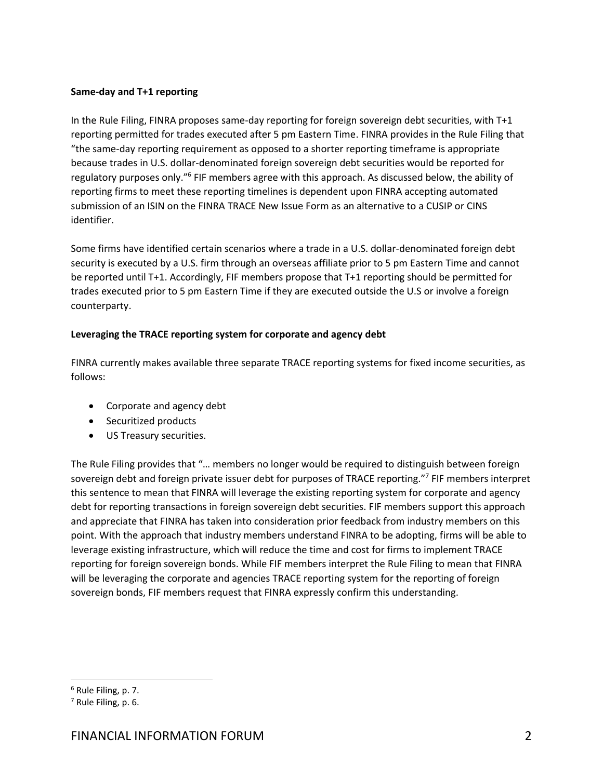## **Same-day and T+1 reporting**

In the Rule Filing, FINRA proposes same-day reporting for foreign sovereign debt securities, with T+1 reporting permitted for trades executed after 5 pm Eastern Time. FINRA provides in the Rule Filing that "the same-day reporting requirement as opposed to a shorter reporting timeframe is appropriate because trades in U.S. dollar-denominated foreign sovereign debt securities would be reported for regulatory purposes only."<sup>6</sup> FIF members agree with this approach. As discussed below, the ability of reporting firms to meet these reporting timelines is dependent upon FINRA accepting automated submission of an ISIN on the FINRA TRACE New Issue Form as an alternative to a CUSIP or CINS identifier.

Some firms have identified certain scenarios where a trade in a U.S. dollar-denominated foreign debt security is executed by a U.S. firm through an overseas affiliate prior to 5 pm Eastern Time and cannot be reported until T+1. Accordingly, FIF members propose that T+1 reporting should be permitted for trades executed prior to 5 pm Eastern Time if they are executed outside the U.S or involve a foreign counterparty.

## **Leveraging the TRACE reporting system for corporate and agency debt**

FINRA currently makes available three separate TRACE reporting systems for fixed income securities, as follows:

- Corporate and agency debt
- Securitized products
- US Treasury securities.

The Rule Filing provides that "… members no longer would be required to distinguish between foreign sovereign debt and foreign private issuer debt for purposes of TRACE reporting."<sup>7</sup> FIF members interpret this sentence to mean that FINRA will leverage the existing reporting system for corporate and agency debt for reporting transactions in foreign sovereign debt securities. FIF members support this approach and appreciate that FINRA has taken into consideration prior feedback from industry members on this point. With the approach that industry members understand FINRA to be adopting, firms will be able to leverage existing infrastructure, which will reduce the time and cost for firms to implement TRACE reporting for foreign sovereign bonds. While FIF members interpret the Rule Filing to mean that FINRA will be leveraging the corporate and agencies TRACE reporting system for the reporting of foreign sovereign bonds, FIF members request that FINRA expressly confirm this understanding.

<sup>6</sup> Rule Filing, p. 7.

<sup>7</sup> Rule Filing, p. 6.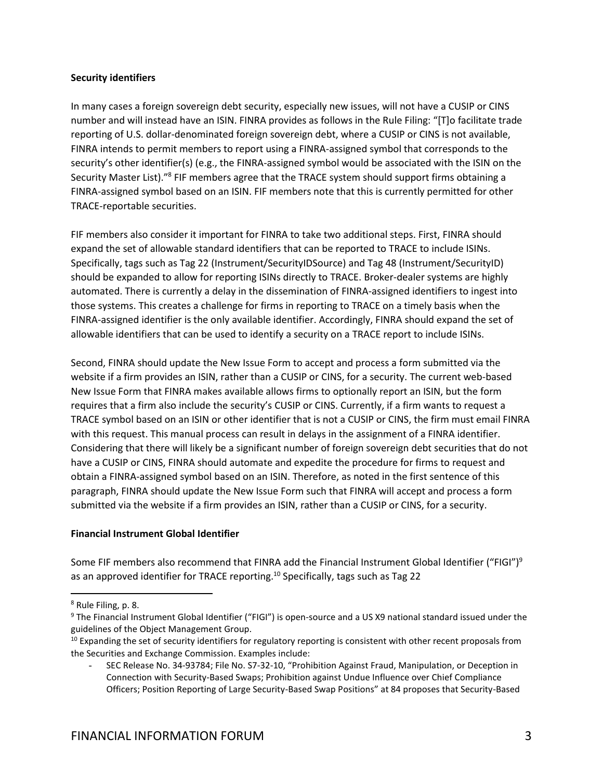## **Security identifiers**

In many cases a foreign sovereign debt security, especially new issues, will not have a CUSIP or CINS number and will instead have an ISIN. FINRA provides as follows in the Rule Filing: "[T]o facilitate trade reporting of U.S. dollar-denominated foreign sovereign debt, where a CUSIP or CINS is not available, FINRA intends to permit members to report using a FINRA-assigned symbol that corresponds to the security's other identifier(s) (e.g., the FINRA-assigned symbol would be associated with the ISIN on the Security Master List)."<sup>8</sup> FIF members agree that the TRACE system should support firms obtaining a FINRA-assigned symbol based on an ISIN. FIF members note that this is currently permitted for other TRACE-reportable securities.

FIF members also consider it important for FINRA to take two additional steps. First, FINRA should expand the set of allowable standard identifiers that can be reported to TRACE to include ISINs. Specifically, tags such as Tag 22 (Instrument/SecurityIDSource) and Tag 48 (Instrument/SecurityID) should be expanded to allow for reporting ISINs directly to TRACE. Broker-dealer systems are highly automated. There is currently a delay in the dissemination of FINRA-assigned identifiers to ingest into those systems. This creates a challenge for firms in reporting to TRACE on a timely basis when the FINRA-assigned identifier is the only available identifier. Accordingly, FINRA should expand the set of allowable identifiers that can be used to identify a security on a TRACE report to include ISINs.

Second, FINRA should update the New Issue Form to accept and process a form submitted via the website if a firm provides an ISIN, rather than a CUSIP or CINS, for a security. The current web-based New Issue Form that FINRA makes available allows firms to optionally report an ISIN, but the form requires that a firm also include the security's CUSIP or CINS. Currently, if a firm wants to request a TRACE symbol based on an ISIN or other identifier that is not a CUSIP or CINS, the firm must email FINRA with this request. This manual process can result in delays in the assignment of a FINRA identifier. Considering that there will likely be a significant number of foreign sovereign debt securities that do not have a CUSIP or CINS, FINRA should automate and expedite the procedure for firms to request and obtain a FINRA-assigned symbol based on an ISIN. Therefore, as noted in the first sentence of this paragraph, FINRA should update the New Issue Form such that FINRA will accept and process a form submitted via the website if a firm provides an ISIN, rather than a CUSIP or CINS, for a security.

# **Financial Instrument Global Identifier**

Some FIF members also recommend that FINRA add the Financial Instrument Global Identifier ("FIGI")<sup>9</sup> as an approved identifier for TRACE reporting.<sup>10</sup> Specifically, tags such as Tag 22

<sup>8</sup> Rule Filing, p. 8.

<sup>&</sup>lt;sup>9</sup> The Financial Instrument Global Identifier ("FIGI") is open-source and a US X9 national standard issued under the guidelines of the Object Management Group.

<sup>&</sup>lt;sup>10</sup> Expanding the set of security identifiers for regulatory reporting is consistent with other recent proposals from the Securities and Exchange Commission. Examples include:

<sup>-</sup> SEC Release No. 34-93784; File No. S7-32-10, "Prohibition Against Fraud, Manipulation, or Deception in Connection with Security-Based Swaps; Prohibition against Undue Influence over Chief Compliance Officers; Position Reporting of Large Security-Based Swap Positions" at 84 proposes that Security-Based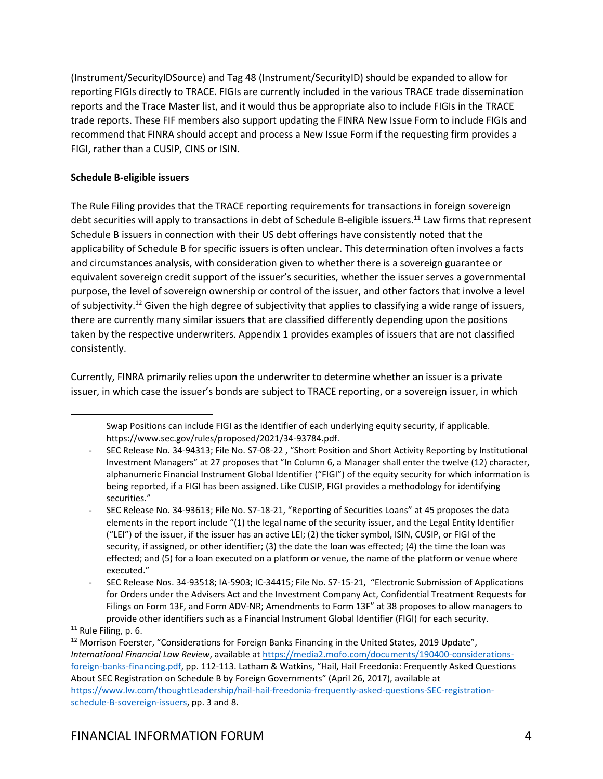(Instrument/SecurityIDSource) and Tag 48 (Instrument/SecurityID) should be expanded to allow for reporting FIGIs directly to TRACE. FIGIs are currently included in the various TRACE trade dissemination reports and the Trace Master list, and it would thus be appropriate also to include FIGIs in the TRACE trade reports. These FIF members also support updating the FINRA New Issue Form to include FIGIs and recommend that FINRA should accept and process a New Issue Form if the requesting firm provides a FIGI, rather than a CUSIP, CINS or ISIN.

# **Schedule B-eligible issuers**

The Rule Filing provides that the TRACE reporting requirements for transactions in foreign sovereign debt securities will apply to transactions in debt of Schedule B-eligible issuers.<sup>11</sup> Law firms that represent Schedule B issuers in connection with their US debt offerings have consistently noted that the applicability of Schedule B for specific issuers is often unclear. This determination often involves a facts and circumstances analysis, with consideration given to whether there is a sovereign guarantee or equivalent sovereign credit support of the issuer's securities, whether the issuer serves a governmental purpose, the level of sovereign ownership or control of the issuer, and other factors that involve a level of subjectivity.<sup>12</sup> Given the high degree of subjectivity that applies to classifying a wide range of issuers, there are currently many similar issuers that are classified differently depending upon the positions taken by the respective underwriters. Appendix 1 provides examples of issuers that are not classified consistently.

Currently, FINRA primarily relies upon the underwriter to determine whether an issuer is a private issuer, in which case the issuer's bonds are subject to TRACE reporting, or a sovereign issuer, in which

Swap Positions can include FIGI as the identifier of each underlying equity security, if applicable. https://www.sec.gov/rules/proposed/2021/34-93784.pdf.

<sup>-</sup> SEC Release No. 34-94313; File No. S7-08-22 , "Short Position and Short Activity Reporting by Institutional Investment Managers" at 27 proposes that "In Column 6, a Manager shall enter the twelve (12) character, alphanumeric Financial Instrument Global Identifier ("FIGI") of the equity security for which information is being reported, if a FIGI has been assigned. Like CUSIP, FIGI provides a methodology for identifying securities."

<sup>-</sup> SEC Release No. 34-93613; File No. S7-18-21, "Reporting of Securities Loans" at 45 proposes the data elements in the report include "(1) the legal name of the security issuer, and the Legal Entity Identifier ("LEI") of the issuer, if the issuer has an active LEI; (2) the ticker symbol, ISIN, CUSIP, or FIGI of the security, if assigned, or other identifier; (3) the date the loan was effected; (4) the time the loan was effected; and (5) for a loan executed on a platform or venue, the name of the platform or venue where executed."

<sup>-</sup> SEC Release Nos. 34-93518; IA-5903; IC-34415; File No. S7-15-21, "Electronic Submission of Applications for Orders under the Advisers Act and the Investment Company Act, Confidential Treatment Requests for Filings on Form 13F, and Form ADV-NR; Amendments to Form 13F" at 38 proposes to allow managers to provide other identifiers such as a Financial Instrument Global Identifier (FIGI) for each security.

<sup>&</sup>lt;sup>11</sup> Rule Filing, p. 6.

<sup>&</sup>lt;sup>12</sup> Morrison Foerster, "Considerations for Foreign Banks Financing in the United States, 2019 Update", *International Financial Law Review*, available a[t https://media2.mofo.com/documents/190400-considerations](https://media2.mofo.com/documents/190400-considerations-foreign-banks-financing.pdf)[foreign-banks-financing.pdf,](https://media2.mofo.com/documents/190400-considerations-foreign-banks-financing.pdf) pp. 112-113. Latham & Watkins, "Hail, Hail Freedonia: Frequently Asked Questions About SEC Registration on Schedule B by Foreign Governments" (April 26, 2017), available at [https://www.lw.com/thoughtLeadership/hail-hail-freedonia-frequently-asked-questions-SEC-registration](https://www.lw.com/thoughtLeadership/hail-hail-freedonia-frequently-asked-questions-SEC-registration-schedule-B-sovereign-issuers)[schedule-B-sovereign-issuers,](https://www.lw.com/thoughtLeadership/hail-hail-freedonia-frequently-asked-questions-SEC-registration-schedule-B-sovereign-issuers) pp. 3 and 8.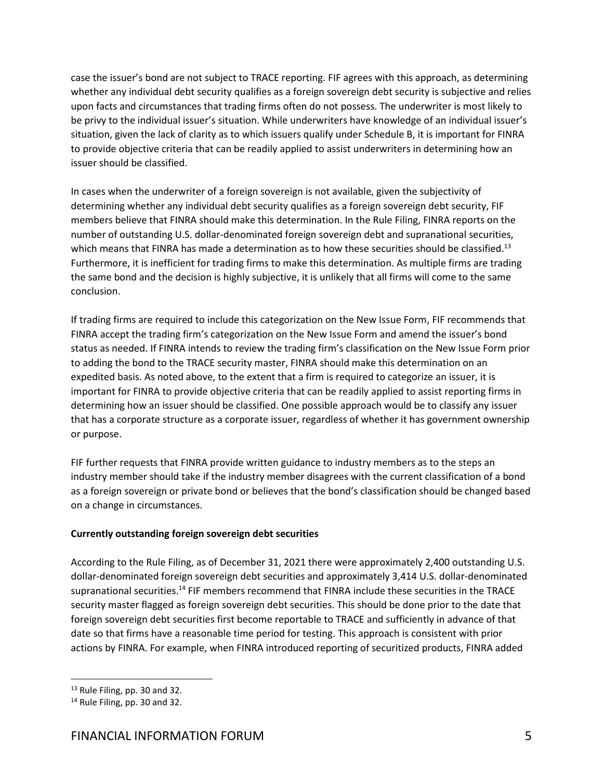case the issuer's bond are not subject to TRACE reporting. FIF agrees with this approach, as determining whether any individual debt security qualifies as a foreign sovereign debt security is subjective and relies upon facts and circumstances that trading firms often do not possess. The underwriter is most likely to be privy to the individual issuer's situation. While underwriters have knowledge of an individual issuer's situation, given the lack of clarity as to which issuers qualify under Schedule B, it is important for FINRA to provide objective criteria that can be readily applied to assist underwriters in determining how an issuer should be classified.

In cases when the underwriter of a foreign sovereign is not available, given the subjectivity of determining whether any individual debt security qualifies as a foreign sovereign debt security, FIF members believe that FINRA should make this determination. In the Rule Filing, FINRA reports on the number of outstanding U.S. dollar-denominated foreign sovereign debt and supranational securities, which means that FINRA has made a determination as to how these securities should be classified.<sup>13</sup> Furthermore, it is inefficient for trading firms to make this determination. As multiple firms are trading the same bond and the decision is highly subjective, it is unlikely that all firms will come to the same conclusion.

If trading firms are required to include this categorization on the New Issue Form, FIF recommends that FINRA accept the trading firm's categorization on the New Issue Form and amend the issuer's bond status as needed. If FINRA intends to review the trading firm's classification on the New Issue Form prior to adding the bond to the TRACE security master, FINRA should make this determination on an expedited basis. As noted above, to the extent that a firm is required to categorize an issuer, it is important for FINRA to provide objective criteria that can be readily applied to assist reporting firms in determining how an issuer should be classified. One possible approach would be to classify any issuer that has a corporate structure as a corporate issuer, regardless of whether it has government ownership or purpose.

FIF further requests that FINRA provide written guidance to industry members as to the steps an industry member should take if the industry member disagrees with the current classification of a bond as a foreign sovereign or private bond or believes that the bond's classification should be changed based on a change in circumstances.

# **Currently outstanding foreign sovereign debt securities**

According to the Rule Filing, as of December 31, 2021 there were approximately 2,400 outstanding U.S. dollar-denominated foreign sovereign debt securities and approximately 3,414 U.S. dollar-denominated supranational securities.<sup>14</sup> FIF members recommend that FINRA include these securities in the TRACE security master flagged as foreign sovereign debt securities. This should be done prior to the date that foreign sovereign debt securities first become reportable to TRACE and sufficiently in advance of that date so that firms have a reasonable time period for testing. This approach is consistent with prior actions by FINRA. For example, when FINRA introduced reporting of securitized products, FINRA added

<sup>&</sup>lt;sup>13</sup> Rule Filing, pp. 30 and 32.

<sup>&</sup>lt;sup>14</sup> Rule Filing, pp. 30 and 32.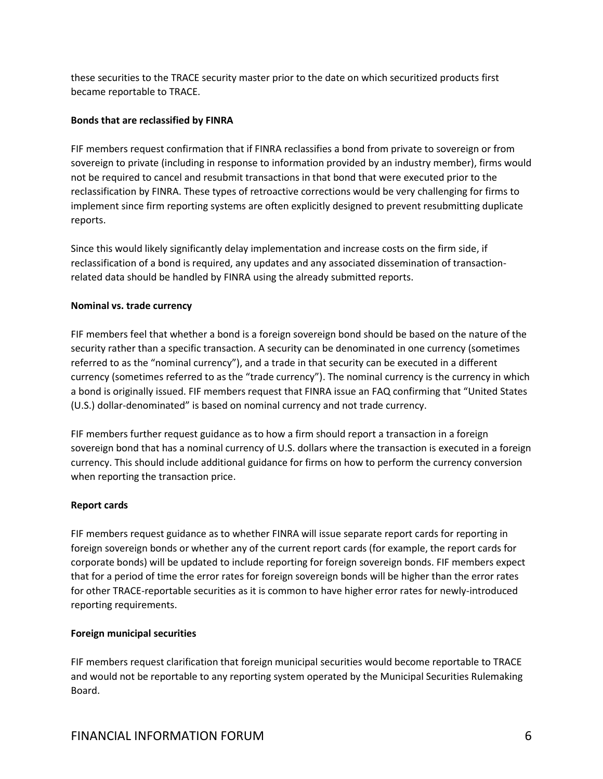these securities to the TRACE security master prior to the date on which securitized products first became reportable to TRACE.

## **Bonds that are reclassified by FINRA**

FIF members request confirmation that if FINRA reclassifies a bond from private to sovereign or from sovereign to private (including in response to information provided by an industry member), firms would not be required to cancel and resubmit transactions in that bond that were executed prior to the reclassification by FINRA. These types of retroactive corrections would be very challenging for firms to implement since firm reporting systems are often explicitly designed to prevent resubmitting duplicate reports.

Since this would likely significantly delay implementation and increase costs on the firm side, if reclassification of a bond is required, any updates and any associated dissemination of transactionrelated data should be handled by FINRA using the already submitted reports.

# **Nominal vs. trade currency**

FIF members feel that whether a bond is a foreign sovereign bond should be based on the nature of the security rather than a specific transaction. A security can be denominated in one currency (sometimes referred to as the "nominal currency"), and a trade in that security can be executed in a different currency (sometimes referred to as the "trade currency"). The nominal currency is the currency in which a bond is originally issued. FIF members request that FINRA issue an FAQ confirming that "United States (U.S.) dollar-denominated" is based on nominal currency and not trade currency.

FIF members further request guidance as to how a firm should report a transaction in a foreign sovereign bond that has a nominal currency of U.S. dollars where the transaction is executed in a foreign currency. This should include additional guidance for firms on how to perform the currency conversion when reporting the transaction price.

## **Report cards**

FIF members request guidance as to whether FINRA will issue separate report cards for reporting in foreign sovereign bonds or whether any of the current report cards (for example, the report cards for corporate bonds) will be updated to include reporting for foreign sovereign bonds. FIF members expect that for a period of time the error rates for foreign sovereign bonds will be higher than the error rates for other TRACE-reportable securities as it is common to have higher error rates for newly-introduced reporting requirements.

# **Foreign municipal securities**

FIF members request clarification that foreign municipal securities would become reportable to TRACE and would not be reportable to any reporting system operated by the Municipal Securities Rulemaking Board.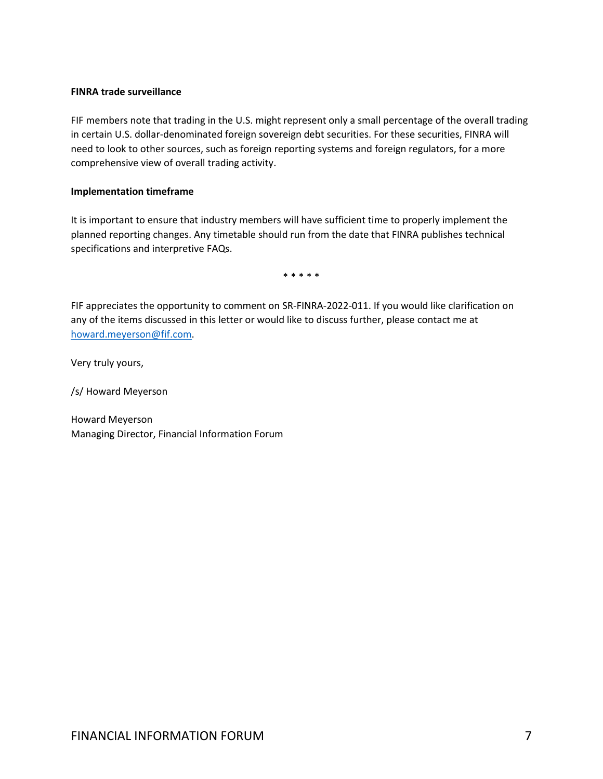## **FINRA trade surveillance**

FIF members note that trading in the U.S. might represent only a small percentage of the overall trading in certain U.S. dollar-denominated foreign sovereign debt securities. For these securities, FINRA will need to look to other sources, such as foreign reporting systems and foreign regulators, for a more comprehensive view of overall trading activity.

## **Implementation timeframe**

It is important to ensure that industry members will have sufficient time to properly implement the planned reporting changes. Any timetable should run from the date that FINRA publishes technical specifications and interpretive FAQs.

\* \* \* \* \*

FIF appreciates the opportunity to comment on SR-FINRA-2022-011. If you would like clarification on any of the items discussed in this letter or would like to discuss further, please contact me at [howard.meyerson@fif.com.](mailto:howard.meyerson@fif.com)

Very truly yours,

/s/ Howard Meyerson

Howard Meyerson Managing Director, Financial Information Forum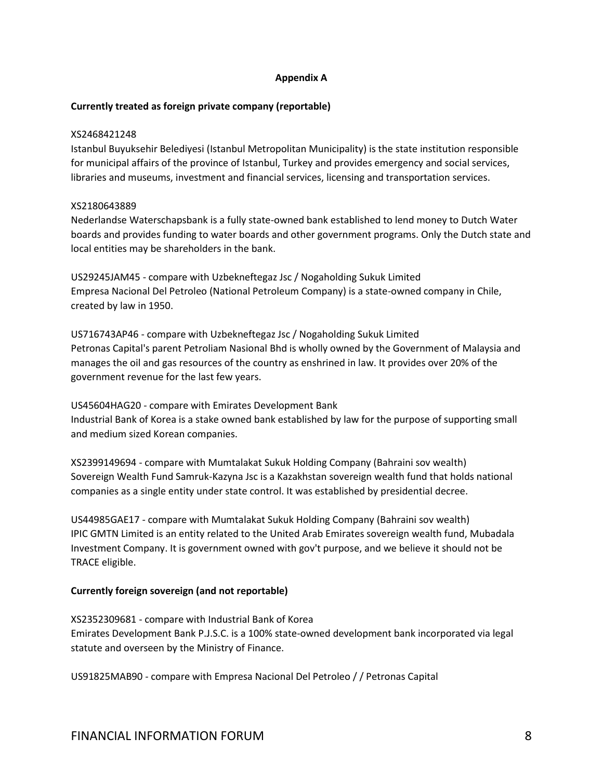## **Appendix A**

## **Currently treated as foreign private company (reportable)**

#### XS2468421248

Istanbul Buyuksehir Belediyesi (Istanbul Metropolitan Municipality) is the state institution responsible for municipal affairs of the province of Istanbul, Turkey and provides emergency and social services, libraries and museums, investment and financial services, licensing and transportation services.

## XS2180643889

Nederlandse Waterschapsbank is a fully state-owned bank established to lend money to Dutch Water boards and provides funding to water boards and other government programs. Only the Dutch state and local entities may be shareholders in the bank.

US29245JAM45 - compare with Uzbekneftegaz Jsc / Nogaholding Sukuk Limited Empresa Nacional Del Petroleo (National Petroleum Company) is a state-owned company in Chile, created by law in 1950.

US716743AP46 - compare with Uzbekneftegaz Jsc / Nogaholding Sukuk Limited Petronas Capital's parent Petroliam Nasional Bhd is wholly owned by the Government of Malaysia and manages the oil and gas resources of the country as enshrined in law. It provides over 20% of the government revenue for the last few years.

US45604HAG20 - compare with Emirates Development Bank

Industrial Bank of Korea is a stake owned bank established by law for the purpose of supporting small and medium sized Korean companies.

XS2399149694 - compare with Mumtalakat Sukuk Holding Company (Bahraini sov wealth) Sovereign Wealth Fund Samruk-Kazyna Jsc is a Kazakhstan sovereign wealth fund that holds national companies as a single entity under state control. It was established by presidential decree.

US44985GAE17 - compare with Mumtalakat Sukuk Holding Company (Bahraini sov wealth) IPIC GMTN Limited is an entity related to the United Arab Emirates sovereign wealth fund, Mubadala Investment Company. It is government owned with gov't purpose, and we believe it should not be TRACE eligible.

## **Currently foreign sovereign (and not reportable)**

XS2352309681 - compare with Industrial Bank of Korea Emirates Development Bank P.J.S.C. is a 100% state-owned development bank incorporated via legal statute and overseen by the Ministry of Finance.

US91825MAB90 - compare with Empresa Nacional Del Petroleo / / Petronas Capital